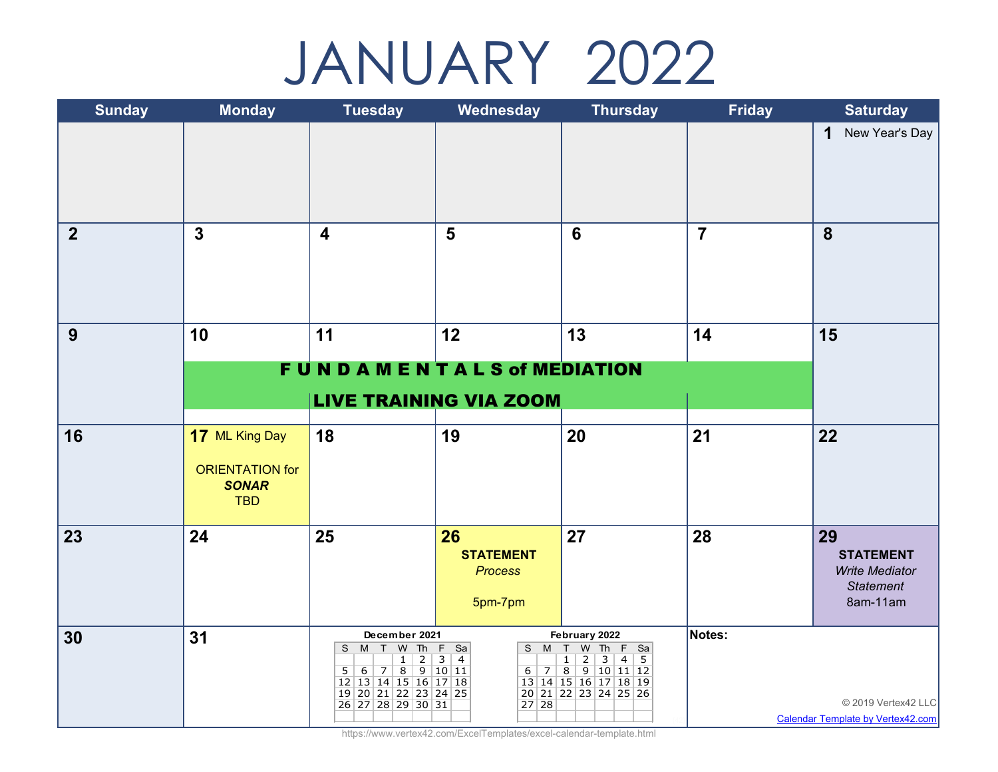## JANUARY 2022

| <b>Sunday</b>  | <b>Monday</b>                                        | <b>Tuesday</b>                                                                                                                                             | Wednesday                                           | <b>Thursday</b>                                                                                                                                                                | <b>Friday</b>  | <b>Saturday</b>                                                                 |
|----------------|------------------------------------------------------|------------------------------------------------------------------------------------------------------------------------------------------------------------|-----------------------------------------------------|--------------------------------------------------------------------------------------------------------------------------------------------------------------------------------|----------------|---------------------------------------------------------------------------------|
|                |                                                      |                                                                                                                                                            |                                                     |                                                                                                                                                                                |                | New Year's Day<br>$\mathbf 1$                                                   |
| $\overline{2}$ | $\overline{3}$                                       | $\overline{\mathbf{4}}$                                                                                                                                    | $5\phantom{1}$                                      | $6\phantom{1}6$                                                                                                                                                                | $\overline{7}$ | 8                                                                               |
| 9              | 10                                                   | 11                                                                                                                                                         | 12                                                  | 13                                                                                                                                                                             | 14             | 15                                                                              |
|                | FUNDAMENTAL S of MEDIATION                           |                                                                                                                                                            |                                                     |                                                                                                                                                                                |                |                                                                                 |
|                |                                                      | <b>LIVE TRAINING VIA ZOOM</b>                                                                                                                              |                                                     |                                                                                                                                                                                |                |                                                                                 |
| 16             | 17 ML King Day                                       | 18                                                                                                                                                         | 19                                                  | 20                                                                                                                                                                             | 21             | 22                                                                              |
|                | <b>ORIENTATION for</b><br><b>SONAR</b><br><b>TBD</b> |                                                                                                                                                            |                                                     |                                                                                                                                                                                |                |                                                                                 |
| 23             | 24                                                   | 25                                                                                                                                                         | 26<br><b>STATEMENT</b><br><b>Process</b><br>5pm-7pm | 27                                                                                                                                                                             | 28             | 29<br><b>STATEMENT</b><br><b>Write Mediator</b><br><b>Statement</b><br>8am-11am |
| 30             | 31                                                   | December 2021<br>S M T W Th F Sa<br>$\overline{2}$<br>$\mathbf{1}$<br>5 6 7 8 9 10 11<br>12 13 14 15 16 17 18<br>19 20 21 22 23 24 25<br>26 27 28 29 30 31 | 3 4<br>27 28                                        | February 2022<br>S M T W Th F Sa<br>$\overline{2}$<br>$\overline{\mathbf{3}}$<br>$4 \mid 5$<br>$1 \vert$<br>$6$ 7 8 9 10 11 12<br>13 14 15 16 17 18 19<br>20 21 22 23 24 25 26 | Notes:         | © 2019 Vertex42 LLC<br><b>Calendar Template by Vertex42.com</b>                 |

https://www.vertex42.com/ExcelTemplates/excel-calendar-template.html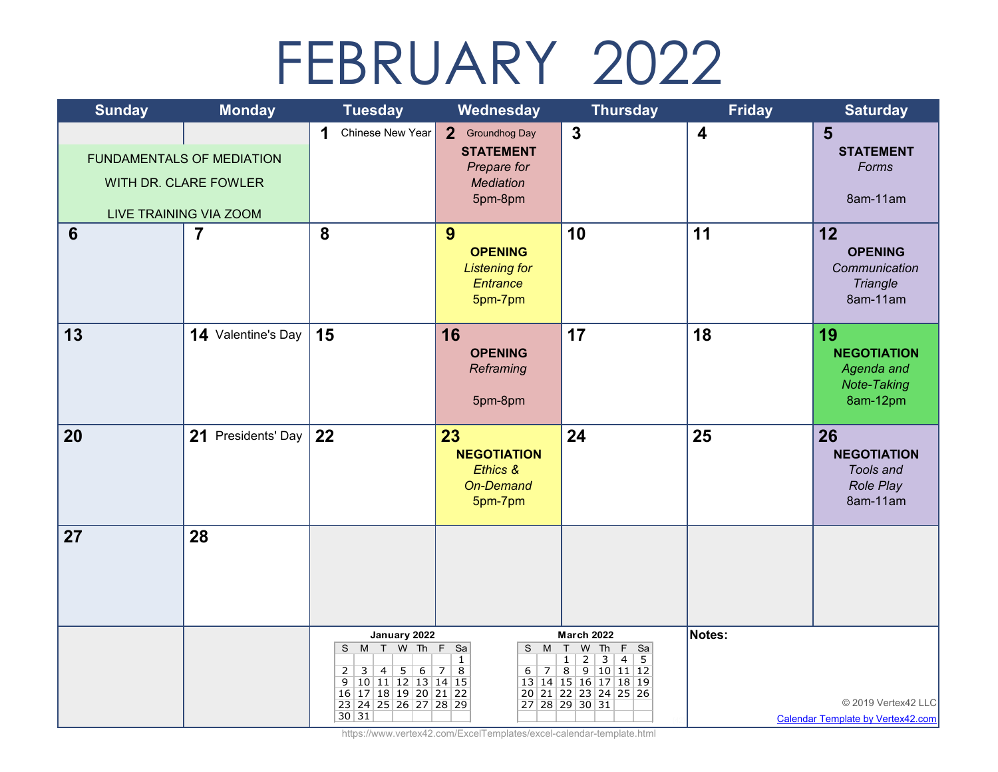## FEBRUARY 2022

| <b>Sunday</b> | <b>Monday</b>                                                                       | <b>Tuesday</b>                                                                                                                                                     | Wednesday                                                                         | <b>Thursday</b>                                                                                                                                                                     | <b>Friday</b>           | <b>Saturday</b>                                                          |
|---------------|-------------------------------------------------------------------------------------|--------------------------------------------------------------------------------------------------------------------------------------------------------------------|-----------------------------------------------------------------------------------|-------------------------------------------------------------------------------------------------------------------------------------------------------------------------------------|-------------------------|--------------------------------------------------------------------------|
|               | <b>FUNDAMENTALS OF MEDIATION</b><br>WITH DR. CLARE FOWLER<br>LIVE TRAINING VIA ZOOM | Chinese New Year<br>1                                                                                                                                              | 2 Groundhog Day<br><b>STATEMENT</b><br>Prepare for<br><b>Mediation</b><br>5pm-8pm | $\mathbf{3}$                                                                                                                                                                        | $\overline{\mathbf{4}}$ | 5<br><b>STATEMENT</b><br>Forms<br>8am-11am                               |
| 6             | $\overline{7}$                                                                      | 8                                                                                                                                                                  | 9<br><b>OPENING</b><br><b>Listening for</b><br>Entrance<br>5pm-7pm                | 10                                                                                                                                                                                  | 11                      | 12<br><b>OPENING</b><br>Communication<br>Triangle<br>8am-11am            |
| 13            | 14 Valentine's Day                                                                  | 15                                                                                                                                                                 | 16<br><b>OPENING</b><br>Reframing<br>5pm-8pm                                      | 17                                                                                                                                                                                  | 18                      | 19<br><b>NEGOTIATION</b><br>Agenda and<br><b>Note-Taking</b><br>8am-12pm |
| 20            | 21 Presidents' Day                                                                  | 22                                                                                                                                                                 | 23<br><b>NEGOTIATION</b><br>Ethics &<br>On-Demand<br>5pm-7pm                      | 24                                                                                                                                                                                  | 25                      | 26<br><b>NEGOTIATION</b><br>Tools and<br>Role Play<br>8am-11am           |
| 27            | 28                                                                                  |                                                                                                                                                                    |                                                                                   |                                                                                                                                                                                     |                         |                                                                          |
|               |                                                                                     | January 2022<br>S M T W Th F Sa<br>$5 \mid 6$<br>$3 \mid 4 \mid$<br>$\overline{2}$<br>9 10 11 12 13 14 15<br>16 17 18 19 20 21 22<br>23 24 25 26 27 28 29<br>30 31 | $\mathbf{1}$<br>7 <br>8                                                           | <b>March 2022</b><br>S M T W Th F Sa<br>$1 \vert$<br>2<br>3<br>$4 \vert$<br>- 5<br>$6$   7   8   9   10   11   12<br>13 14 15 16 17 18 19<br>20 21 22 23 24 25 26<br>27 28 29 30 31 | Notes:                  | © 2019 Vertex42 LLC<br><b>Calendar Template by Vertex42.com</b>          |

https://www.vertex42.com/ExcelTemplates/excel-calendar-template.html